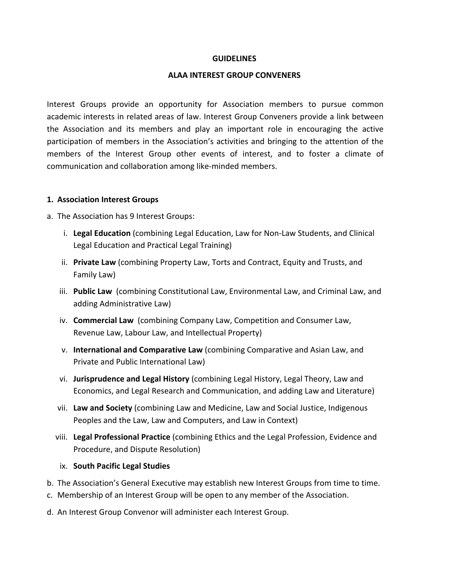#### **GUIDELINES**

### **ALAA INTEREST GROUP CONVENERS**

Interest Groups provide an opportunity for Association members to pursue common academic interests in related areas of law. Interest Group Conveners provide a link between the Association and its members and play an important role in encouraging the active participation of members in the Association's activities and bringing to the attention of the members of the Interest Group other events of interest, and to foster a climate of communication and collaboration among like-minded members.

### **1. Association Interest Groups**

a. The Association has 9 Interest Groups:

- i. **Legal Education** (combining Legal Education, Law for Non-Law Students, and Clinical Legal Education and Practical Legal Training)
- ii. **Private Law** (combining Property Law, Torts and Contract, Equity and Trusts, and Family Law)
- iii. **Public Law** (combining Constitutional Law, Environmental Law, and Criminal Law, and adding Administrative Law)
- iv. **Commercial Law** (combining Company Law, Competition and Consumer Law, Revenue Law, Labour Law, and Intellectual Property)
- v. **International and Comparative Law** (combining Comparative and Asian Law, and Private and Public International Law)
- vi. **Jurisprudence and Legal History** (combining Legal History, Legal Theory, Law and Economics, and Legal Research and Communication, and adding Law and Literature)
- vii. **Law and Society** (combining Law and Medicine, Law and Social Justice, Indigenous Peoples and the Law, Law and Computers, and Law in Context)
- viii. **Legal Professional Practice** (combining Ethics and the Legal Profession, Evidence and Procedure, and Dispute Resolution)

## ix. **South Pacific Legal Studies**

- b. The Association's General Executive may establish new Interest Groups from time to time.
- c. Membership of an Interest Group will be open to any member of the Association.
- d. An Interest Group Convenor will administer each Interest Group.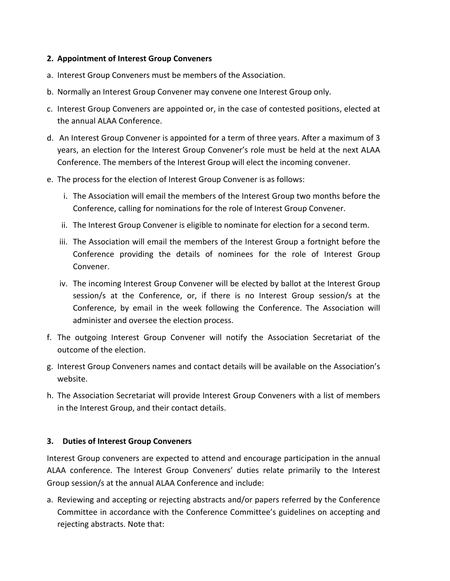## **2. Appointment of Interest Group Conveners**

- a. Interest Group Conveners must be members of the Association.
- b. Normally an Interest Group Convener may convene one Interest Group only.
- c. Interest Group Conveners are appointed or, in the case of contested positions, elected at the annual ALAA Conference.
- d. An Interest Group Convener is appointed for a term of three years. After a maximum of 3 years, an election for the Interest Group Convener's role must be held at the next ALAA Conference. The members of the Interest Group will elect the incoming convener.
- e. The process for the election of Interest Group Convener is as follows:
	- i. The Association will email the members of the Interest Group two months before the Conference, calling for nominations for the role of Interest Group Convener.
	- ii. The Interest Group Convener is eligible to nominate for election for a second term.
	- iii. The Association will email the members of the Interest Group a fortnight before the Conference providing the details of nominees for the role of Interest Group Convener.
	- iv. The incoming Interest Group Convener will be elected by ballot at the Interest Group session/s at the Conference, or, if there is no Interest Group session/s at the Conference, by email in the week following the Conference. The Association will administer and oversee the election process.
- f. The outgoing Interest Group Convener will notify the Association Secretariat of the outcome of the election.
- g. Interest Group Conveners names and contact details will be available on the Association's website.
- h. The Association Secretariat will provide Interest Group Conveners with a list of members in the Interest Group, and their contact details.

# **3. Duties of Interest Group Conveners**

Interest Group conveners are expected to attend and encourage participation in the annual ALAA conference. The Interest Group Conveners' duties relate primarily to the Interest Group session/s at the annual ALAA Conference and include:

a. Reviewing and accepting or rejecting abstracts and/or papers referred by the Conference Committee in accordance with the Conference Committee's guidelines on accepting and rejecting abstracts. Note that: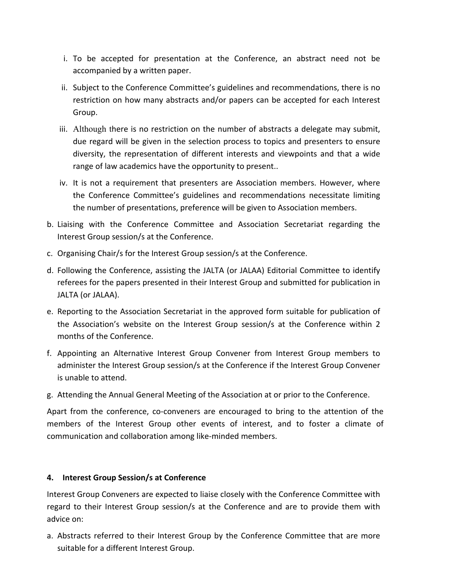- i. To be accepted for presentation at the Conference, an abstract need not be accompanied by a written paper.
- ii. Subject to the Conference Committee's guidelines and recommendations, there is no restriction on how many abstracts and/or papers can be accepted for each Interest Group.
- iii. Although there is no restriction on the number of abstracts a delegate may submit, due regard will be given in the selection process to topics and presenters to ensure diversity, the representation of different interests and viewpoints and that a wide range of law academics have the opportunity to present..
- iv. It is not a requirement that presenters are Association members. However, where the Conference Committee's guidelines and recommendations necessitate limiting the number of presentations, preference will be given to Association members.
- b. Liaising with the Conference Committee and Association Secretariat regarding the Interest Group session/s at the Conference.
- c. Organising Chair/s for the Interest Group session/s at the Conference.
- d. Following the Conference, assisting the JALTA (or JALAA) Editorial Committee to identify referees for the papers presented in their Interest Group and submitted for publication in JALTA (or JALAA).
- e. Reporting to the Association Secretariat in the approved form suitable for publication of the Association's website on the Interest Group session/s at the Conference within 2 months of the Conference.
- f. Appointing an Alternative Interest Group Convener from Interest Group members to administer the Interest Group session/s at the Conference if the Interest Group Convener is unable to attend.
- g. Attending the Annual General Meeting of the Association at or prior to the Conference.

Apart from the conference, co-conveners are encouraged to bring to the attention of the members of the Interest Group other events of interest, and to foster a climate of communication and collaboration among like-minded members.

## **4. Interest Group Session/s at Conference**

Interest Group Conveners are expected to liaise closely with the Conference Committee with regard to their Interest Group session/s at the Conference and are to provide them with advice on:

a. Abstracts referred to their Interest Group by the Conference Committee that are more suitable for a different Interest Group.